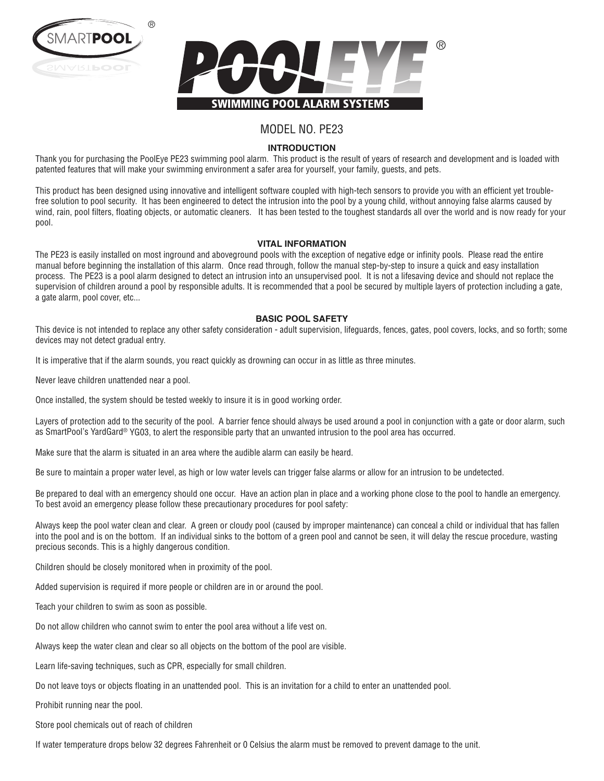



# MODEL NO. PE23

### **INTRODUCTION**

Thank you for purchasing the PoolEye PE23 swimming pool alarm. This product is the result of years of research and development and is loaded with patented features that will make your swimming environment a safer area for yourself, your family, guests, and pets.

This product has been designed using innovative and intelligent software coupled with high-tech sensors to provide you with an efficient yet troublefree solution to pool security. It has been engineered to detect the intrusion into the pool by a young child, without annoying false alarms caused by wind, rain, pool filters, floating objects, or automatic cleaners. It has been tested to the toughest standards all over the world and is now ready for your pool.

#### **VITAL INFORMATION**

The PE23 is easily installed on most inground and aboveground pools with the exception of negative edge or infinity pools. Please read the entire manual before beginning the installation of this alarm. Once read through, follow the manual step-by-step to insure a quick and easy installation process. The PE23 is a pool alarm designed to detect an intrusion into an unsupervised pool. It is not a lifesaving device and should not replace the supervision of children around a pool by responsible adults. It is recommended that a pool be secured by multiple layers of protection including a gate, a gate alarm, pool cover, etc...

#### **BASIC POOL SAFETY**

This device is not intended to replace any other safety consideration - adult supervision, lifeguards, fences, gates, pool covers, locks, and so forth; some devices may not detect gradual entry.

It is imperative that if the alarm sounds, you react quickly as drowning can occur in as little as three minutes.

Never leave children unattended near a pool.

Once installed, the system should be tested weekly to insure it is in good working order.

Layers of protection add to the security of the pool. A barrier fence should always be used around a pool in conjunction with a gate or door alarm, such as SmartPool's YardGard® YG03, to alert the responsible party that an unwanted intrusion to the pool area has occurred.

Make sure that the alarm is situated in an area where the audible alarm can easily be heard.

Be sure to maintain a proper water level, as high or low water levels can trigger false alarms or allow for an intrusion to be undetected.

Be prepared to deal with an emergency should one occur. Have an action plan in place and a working phone close to the pool to handle an emergency. To best avoid an emergency please follow these precautionary procedures for pool safety:

Always keep the pool water clean and clear. A green or cloudy pool (caused by improper maintenance) can conceal a child or individual that has fallen into the pool and is on the bottom. If an individual sinks to the bottom of a green pool and cannot be seen, it will delay the rescue procedure, wasting precious seconds. This is a highly dangerous condition.

Children should be closely monitored when in proximity of the pool.

Added supervision is required if more people or children are in or around the pool.

Teach your children to swim as soon as possible.

Do not allow children who cannot swim to enter the pool area without a life vest on.

Always keep the water clean and clear so all objects on the bottom of the pool are visible.

Learn life-saving techniques, such as CPR, especially for small children.

Do not leave toys or objects floating in an unattended pool. This is an invitation for a child to enter an unattended pool.

Prohibit running near the pool.

Store pool chemicals out of reach of children

If water temperature drops below 32 degrees Fahrenheit or 0 Celsius the alarm must be removed to prevent damage to the unit.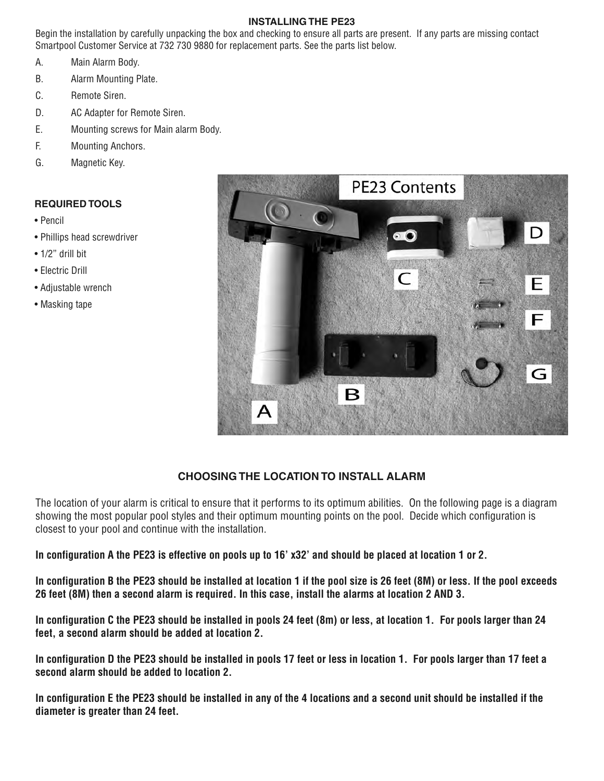## **INSTALLING THE PE23**

Begin the installation by carefully unpacking the box and checking to ensure all parts are present. If any parts are missing contact Smartpool Customer Service at 732 730 9880 for replacement parts. See the parts list below.

- A. Main Alarm Body.
- B. Alarm Mounting Plate.
- C. Remote Siren.
- D. AC Adapter for Remote Siren.
- E. Mounting screws for Main alarm Body.
- F. Mounting Anchors.
- G. Magnetic Key.

## **REQUIRED TOOLS**

- Pencil
- Phillips head screwdriver
- 1/2" drill bit
- Electric Drill
- Adjustable wrench
- Masking tape



# **CHOOSING THE LOCATION TO INSTALL ALARM**

The location of your alarm is critical to ensure that it performs to its optimum abilities. On the following page is a diagram showing the most popular pool styles and their optimum mounting points on the pool. Decide which configuration is closest to your pool and continue with the installation.

**In configuration A the PE23 is effective on pools up to 16' x32' and should be placed at location 1 or 2.**

**In configuration B the PE23 should be installed at location 1 if the pool size is 26 feet (8M) or less. If the pool exceeds 26 feet (8M) then a second alarm is required. In this case, install the alarms at location 2 AND 3.**

**In configuration C the PE23 should be installed in pools 24 feet (8m) or less, at location 1. For pools larger than 24 feet, a second alarm should be added at location 2.**

**In configuration D the PE23 should be installed in pools 17 feet or less in location 1. For pools larger than 17 feet a second alarm should be added to location 2.**

**In configuration E the PE23 should be installed in any of the 4 locations and a second unit should be installed if the diameter is greater than 24 feet.**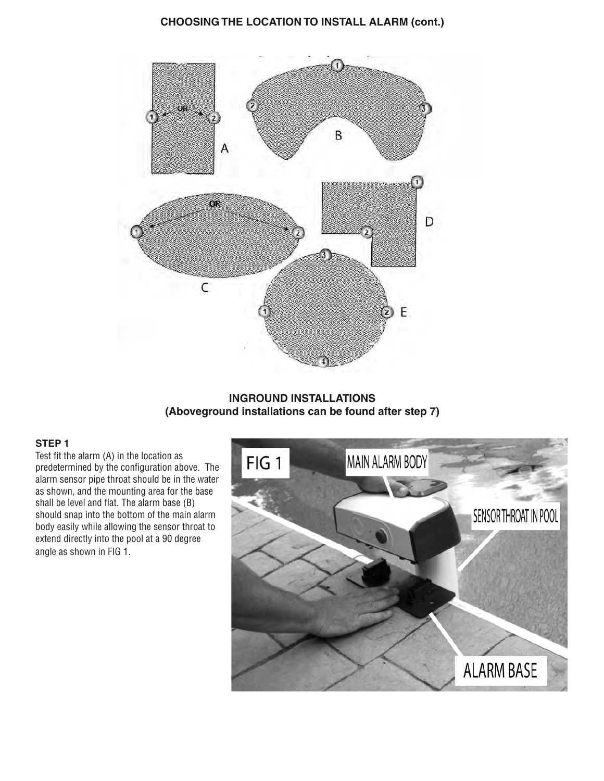## **CHOOSING THE LOCATION TO INSTALL ALARM (cont.)**



## **INGROUND INSTALLATIONS (Aboveground installations can be found after step 7)**

#### **STEP 1**

Test fit the alarm (A) in the location as predetermined by the configuration above. The alarm sensor pipe throat should be in the water as shown, and the mounting area for the base shall be level and flat. The alarm base (B) should snap into the bottom of the main alarm body easily while allowing the sensor throat to extend directly into the pool at a 90 degree angle as shown in FIG 1.

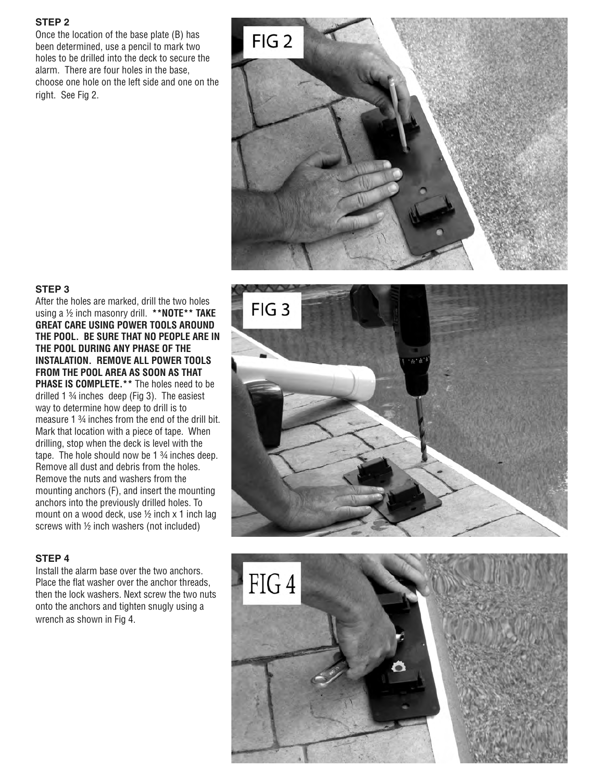### **STEP 2**

Once the location of the base plate (B) has been determined, use a pencil to mark two holes to be drilled into the deck to secure the alarm. There are four holes in the base, choose one hole on the left side and one on the right. See Fig 2.



#### **STEP 3**

After the holes are marked, drill the two holes using a ½ inch masonry drill. **\*\*NOTE\*\* TAKE GREAT CARE USING POWER TOOLS AROUND THE POOL. BE SURE THAT NO PEOPLE ARE IN THE POOL DURING ANY PHASE OF THE INSTALATION. REMOVE ALL POWER TOOLS FROM THE POOL AREA AS SOON AS THAT PHASE IS COMPLETE.\*\*** The holes need to be drilled 1 ¾ inches deep (Fig 3). The easiest way to determine how deep to drill is to measure 1 ¾ inches from the end of the drill bit. Mark that location with a piece of tape. When drilling, stop when the deck is level with the tape. The hole should now be 1 <sup>3</sup>/4 inches deep. Remove all dust and debris from the holes. Remove the nuts and washers from the mounting anchors (F), and insert the mounting anchors into the previously drilled holes. To mount on a wood deck, use  $\frac{1}{2}$  inch x 1 inch lag screws with ½ inch washers (not included)

#### **STEP 4**

Install the alarm base over the two anchors. Place the flat washer over the anchor threads, then the lock washers. Next screw the two nuts onto the anchors and tighten snugly using a wrench as shown in Fig 4.



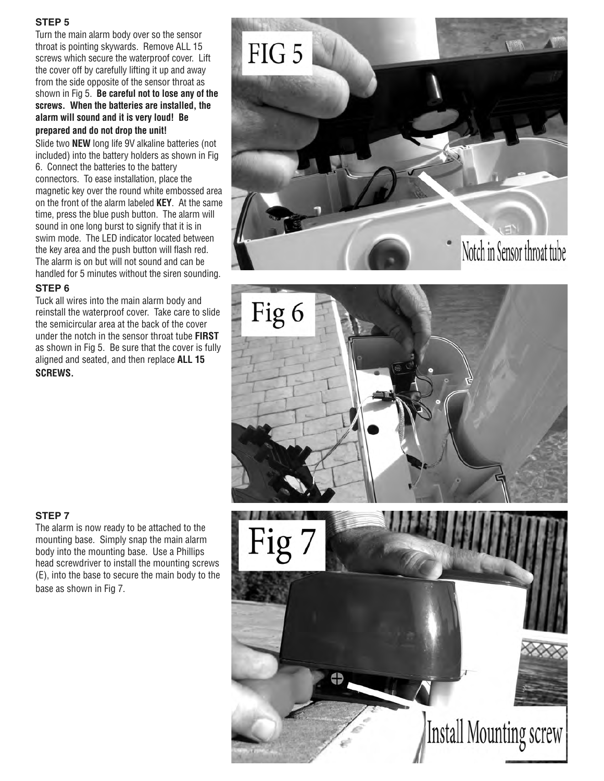## **STEP 5**

Turn the main alarm body over so the sensor throat is pointing skywards. Remove ALL 15 screws which secure the waterproof cover. Lift the cover off by carefully lifting it up and away from the side opposite of the sensor throat as shown in Fig 5. **Be careful not to lose any of the screws. When the batteries are installed, the alarm will sound and it is very loud! Be prepared and do not drop the unit!** 

Slide two **NEW** long life 9V alkaline batteries (not included) into the battery holders as shown in Fig 6. Connect the batteries to the battery connectors. To ease installation, place the magnetic key over the round white embossed area on the front of the alarm labeled **KEY**. At the same time, press the blue push button. The alarm will sound in one long burst to signify that it is in swim mode. The LED indicator located between the key area and the push button will flash red. The alarm is on but will not sound and can be handled for 5 minutes without the siren sounding.

### **STEP 6**

Tuck all wires into the main alarm body and reinstall the waterproof cover. Take care to slide the semicircular area at the back of the cover under the notch in the sensor throat tube **FIRST** as shown in Fig 5. Be sure that the cover is fully aligned and seated, and then replace **ALL 15 SCREWS.**





## **STEP 7**

The alarm is now ready to be attached to the mounting base. Simply snap the main alarm body into the mounting base. Use a Phillips head screwdriver to install the mounting screws (E), into the base to secure the main body to the base as shown in Fig 7.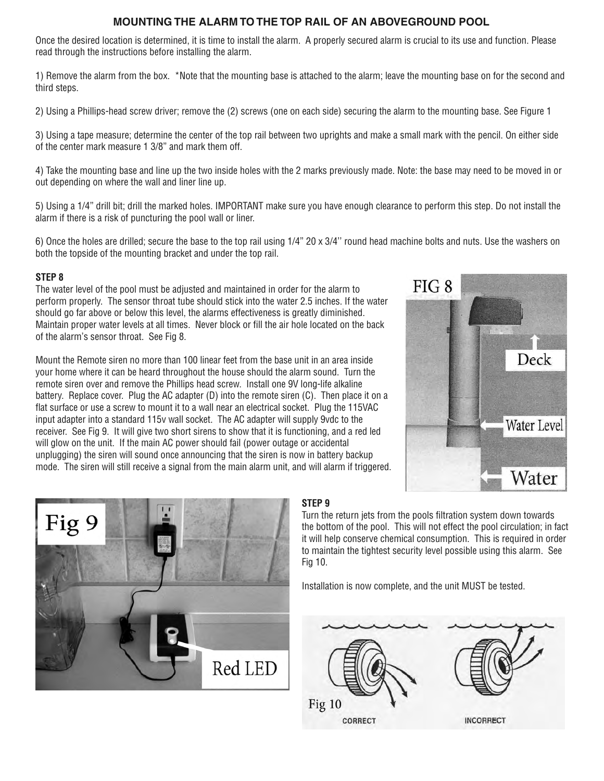## **MOUNTING THE ALARM TO THE TOP RAIL OF AN ABOVEGROUND POOL**

Once the desired location is determined, it is time to install the alarm. A properly secured alarm is crucial to its use and function. Please read through the instructions before installing the alarm.

1) Remove the alarm from the box. \*Note that the mounting base is attached to the alarm; leave the mounting base on for the second and third steps.

2) Using a Phillips-head screw driver; remove the (2) screws (one on each side) securing the alarm to the mounting base. See Figure 1

3) Using a tape measure; determine the center of the top rail between two uprights and make a small mark with the pencil. On either side of the center mark measure 1 3/8" and mark them off.

4) Take the mounting base and line up the two inside holes with the 2 marks previously made. Note: the base may need to be moved in or out depending on where the wall and liner line up.

5) Using a 1/4" drill bit; drill the marked holes. IMPORTANT make sure you have enough clearance to perform this step. Do not install the alarm if there is a risk of puncturing the pool wall or liner.

6) Once the holes are drilled; secure the base to the top rail using 1/4" 20 x 3/4'' round head machine bolts and nuts. Use the washers on both the topside of the mounting bracket and under the top rail.

## **STEP 8**

The water level of the pool must be adjusted and maintained in order for the alarm to perform properly. The sensor throat tube should stick into the water 2.5 inches. If the water should go far above or below this level, the alarms effectiveness is greatly diminished. Maintain proper water levels at all times. Never block or fill the air hole located on the back of the alarm's sensor throat. See Fig 8.

Mount the Remote siren no more than 100 linear feet from the base unit in an area inside your home where it can be heard throughout the house should the alarm sound. Turn the remote siren over and remove the Phillips head screw. Install one 9V long-life alkaline battery. Replace cover. Plug the AC adapter (D) into the remote siren (C). Then place it on a flat surface or use a screw to mount it to a wall near an electrical socket. Plug the 115VAC input adapter into a standard 115v wall socket. The AC adapter will supply 9vdc to the receiver. See Fig 9. It will give two short sirens to show that it is functioning, and a red led will glow on the unit. If the main AC power should fail (power outage or accidental unplugging) the siren will sound once announcing that the siren is now in battery backup mode. The siren will still receive a signal from the main alarm unit, and will alarm if triggered.





# **STEP 9**

Turn the return jets from the pools filtration system down towards the bottom of the pool. This will not effect the pool circulation; in fact it will help conserve chemical consumption. This is required in order to maintain the tightest security level possible using this alarm. See Fig 10.

Installation is now complete, and the unit MUST be tested.

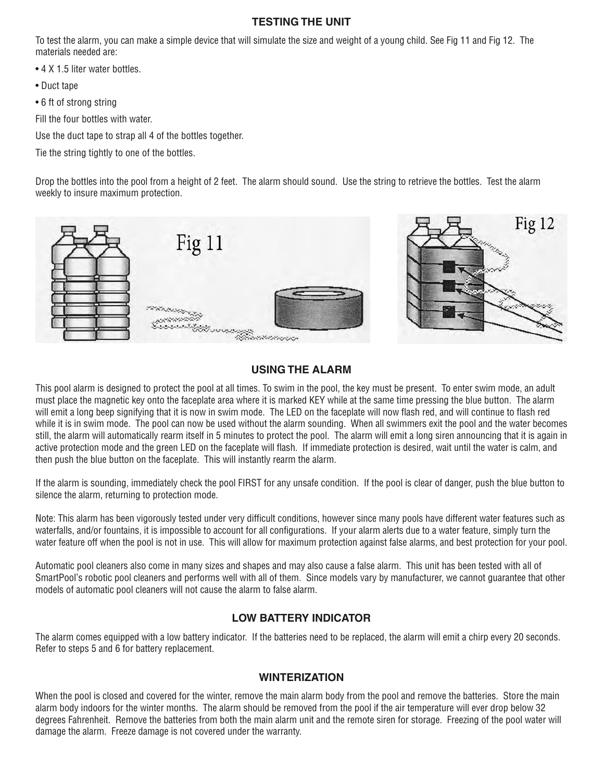## **TESTING THE UNIT**

To test the alarm, you can make a simple device that will simulate the size and weight of a young child. See Fig 11 and Fig 12. The materials needed are:

- 4 X 1.5 liter water bottles.
- Duct tape
- 6 ft of strong string

Fill the four bottles with water.

Use the duct tape to strap all 4 of the bottles together.

Tie the string tightly to one of the bottles.

Drop the bottles into the pool from a height of 2 feet. The alarm should sound. Use the string to retrieve the bottles. Test the alarm weekly to insure maximum protection.



## **USING THE ALARM**

This pool alarm is designed to protect the pool at all times. To swim in the pool, the key must be present. To enter swim mode, an adult must place the magnetic key onto the faceplate area where it is marked KEY while at the same time pressing the blue button. The alarm will emit a long beep signifying that it is now in swim mode. The LED on the faceplate will now flash red, and will continue to flash red while it is in swim mode. The pool can now be used without the alarm sounding. When all swimmers exit the pool and the water becomes still, the alarm will automatically rearm itself in 5 minutes to protect the pool. The alarm will emit a long siren announcing that it is again in active protection mode and the green LED on the faceplate will flash. If immediate protection is desired, wait until the water is calm, and then push the blue button on the faceplate. This will instantly rearm the alarm.

If the alarm is sounding, immediately check the pool FIRST for any unsafe condition. If the pool is clear of danger, push the blue button to silence the alarm, returning to protection mode.

Note: This alarm has been vigorously tested under very difficult conditions, however since many pools have different water features such as waterfalls, and/or fountains, it is impossible to account for all configurations. If your alarm alerts due to a water feature, simply turn the water feature off when the pool is not in use. This will allow for maximum protection against false alarms, and best protection for your pool.

Automatic pool cleaners also come in many sizes and shapes and may also cause a false alarm. This unit has been tested with all of SmartPool's robotic pool cleaners and performs well with all of them. Since models vary by manufacturer, we cannot guarantee that other models of automatic pool cleaners will not cause the alarm to false alarm.

## **LOW BATTERY INDICATOR**

The alarm comes equipped with a low battery indicator. If the batteries need to be replaced, the alarm will emit a chirp every 20 seconds. Refer to steps 5 and 6 for battery replacement.

## **WINTERIZATION**

When the pool is closed and covered for the winter, remove the main alarm body from the pool and remove the batteries. Store the main alarm body indoors for the winter months. The alarm should be removed from the pool if the air temperature will ever drop below 32 degrees Fahrenheit. Remove the batteries from both the main alarm unit and the remote siren for storage. Freezing of the pool water will damage the alarm. Freeze damage is not covered under the warranty.